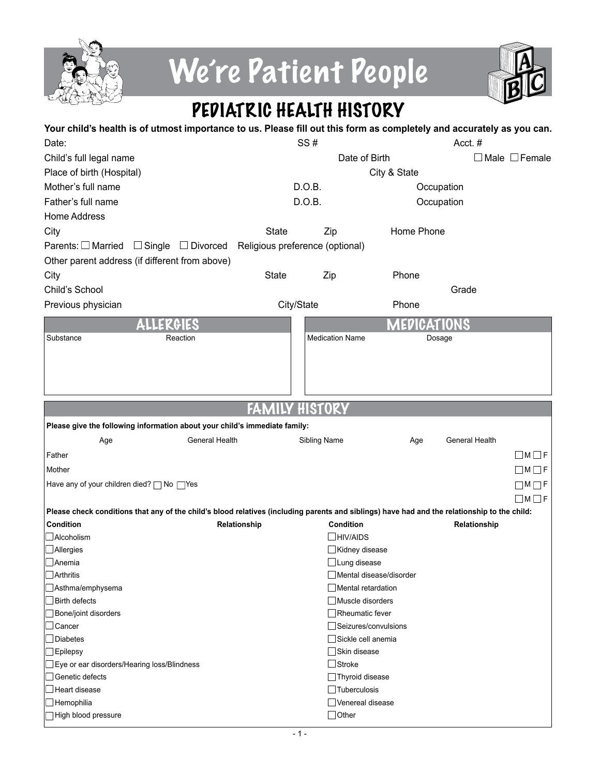

# We're Patient People



## PEDIATRIC HEALTH HISTORY

| Your child's health is of utmost importance to us. Please fill out this form as completely and accurately as you can.                        |                                 |                                                 |              |                |                           |
|----------------------------------------------------------------------------------------------------------------------------------------------|---------------------------------|-------------------------------------------------|--------------|----------------|---------------------------|
| Date:                                                                                                                                        |                                 | SS#                                             |              | Acct.#         |                           |
| Child's full legal name                                                                                                                      |                                 | Date of Birth                                   |              |                | $\Box$ Male $\Box$ Female |
| Place of birth (Hospital)                                                                                                                    |                                 |                                                 | City & State |                |                           |
| Mother's full name                                                                                                                           |                                 | D.O.B.                                          | Occupation   |                |                           |
| Father's full name                                                                                                                           |                                 | D.O.B.                                          |              | Occupation     |                           |
| <b>Home Address</b>                                                                                                                          |                                 |                                                 |              |                |                           |
| City                                                                                                                                         | <b>State</b>                    | Zip                                             | Home Phone   |                |                           |
| Parents: $\Box$ Married<br>$\Box$ Single $\Box$ Divorced                                                                                     | Religious preference (optional) |                                                 |              |                |                           |
| Other parent address (if different from above)                                                                                               |                                 |                                                 |              |                |                           |
| City                                                                                                                                         | <b>State</b>                    | Zip                                             | Phone        |                |                           |
| Child's School                                                                                                                               |                                 |                                                 |              | Grade          |                           |
| Previous physician                                                                                                                           | City/State                      |                                                 | Phone        |                |                           |
| ALLERGIES                                                                                                                                    |                                 |                                                 | MEDICATIONS  |                |                           |
| Reaction<br>Substance                                                                                                                        |                                 | <b>Medication Name</b>                          | Dosage       |                |                           |
|                                                                                                                                              |                                 |                                                 |              |                |                           |
|                                                                                                                                              |                                 |                                                 |              |                |                           |
|                                                                                                                                              |                                 |                                                 |              |                |                           |
|                                                                                                                                              |                                 |                                                 |              |                |                           |
|                                                                                                                                              | FAN                             | HISTORY                                         |              |                |                           |
| Please give the following information about your child's immediate family:                                                                   |                                 |                                                 |              |                |                           |
| <b>General Health</b><br>Age                                                                                                                 |                                 | Sibling Name                                    | Age          | General Health |                           |
| Father                                                                                                                                       |                                 |                                                 |              |                | $\Box$ M $\Box$ F         |
| Mother                                                                                                                                       |                                 |                                                 |              |                | $\Box M \Box F$           |
| Have any of your children died? $\Box$ No $\Box$ Yes                                                                                         |                                 |                                                 |              |                | $\Box M \Box F$           |
|                                                                                                                                              |                                 |                                                 |              |                | $\Box M \Box F$           |
| Please check conditions that any of the child's blood relatives (including parents and siblings) have had and the relationship to the child: |                                 |                                                 |              |                |                           |
| Condition                                                                                                                                    | Relationship                    | <b>Condition</b>                                |              | Relationship   |                           |
| <b>Alcoholism</b>                                                                                                                            |                                 | $\Box$ HIV/AIDS                                 |              |                |                           |
| $\Box$ Allergies                                                                                                                             |                                 | Kidney disease                                  |              |                |                           |
| JAnemia                                                                                                                                      |                                 | □ Lung disease                                  |              |                |                           |
| Arthritis<br>Asthma/emphysema                                                                                                                |                                 | Mental disease/disorder<br>  Mental retardation |              |                |                           |
| Birth defects                                                                                                                                |                                 | Muscle disorders                                |              |                |                           |
| Bone/joint disorders                                                                                                                         |                                 | $\Box$ Rheumatic fever                          |              |                |                           |
| Cancer                                                                                                                                       |                                 | □Seizures/convulsions                           |              |                |                           |
| Diabetes                                                                                                                                     |                                 | Sickle cell anemia                              |              |                |                           |
| <b>Epilepsy</b>                                                                                                                              |                                 | Skin disease                                    |              |                |                           |
| Eye or ear disorders/Hearing loss/Blindness                                                                                                  |                                 | $\Box$ Stroke                                   |              |                |                           |
| Genetic defects                                                                                                                              |                                 | Thyroid disease                                 |              |                |                           |
| Heart disease                                                                                                                                |                                 | $\Box$ Tuberculosis<br>□ Venereal disease       |              |                |                           |
| Hemophilia<br>High blood pressure                                                                                                            |                                 | $\Box$ Other                                    |              |                |                           |
|                                                                                                                                              |                                 |                                                 |              |                |                           |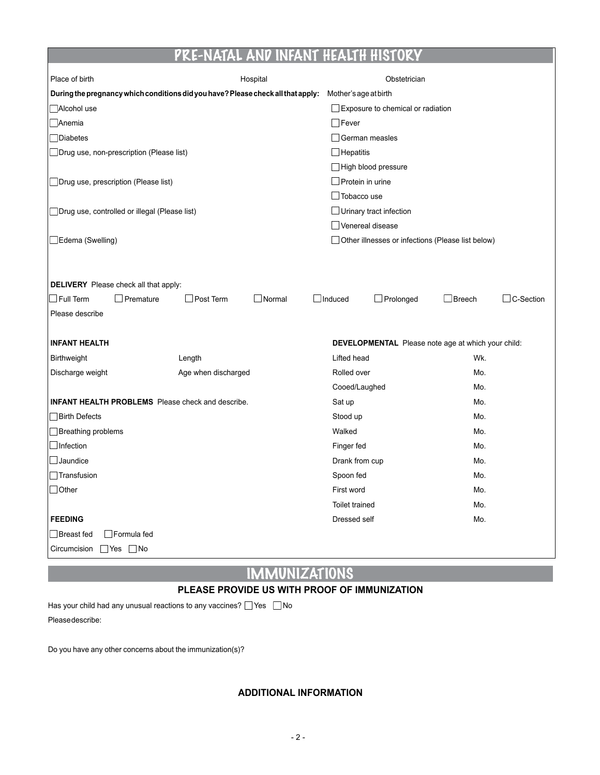#### PRE-NATAL AND INFANT HEALTH HISTOI

| Place of birth                                                                   | Hospital |                         | Obstetrician                                       |               |           |
|----------------------------------------------------------------------------------|----------|-------------------------|----------------------------------------------------|---------------|-----------|
| During the pregnancy which conditions did you have? Please check all that apply: |          | Mother's age at birth   |                                                    |               |           |
| Alcohol use                                                                      |          |                         | $\Box$ Exposure to chemical or radiation           |               |           |
| Anemia                                                                           |          | $\Box$ Fever            |                                                    |               |           |
| $\Box$ Diabetes                                                                  |          | German measles          |                                                    |               |           |
| □ Drug use, non-prescription (Please list)                                       |          | $\Box$ Hepatitis        |                                                    |               |           |
|                                                                                  |          |                         | High blood pressure                                |               |           |
| Drug use, prescription (Please list)                                             |          | $\Box$ Protein in urine |                                                    |               |           |
|                                                                                  |          | $\Box$ Tobacco use      |                                                    |               |           |
| Drug use, controlled or illegal (Please list)                                    |          |                         | $\Box$ Urinary tract infection                     |               |           |
|                                                                                  |          | Venereal disease        |                                                    |               |           |
| Edema (Swelling)                                                                 |          |                         | Other illnesses or infections (Please list below)  |               |           |
|                                                                                  |          |                         |                                                    |               |           |
|                                                                                  |          |                         |                                                    |               |           |
| <b>DELIVERY</b> Please check all that apply:                                     |          |                         |                                                    |               |           |
| $\Box$ Full Term<br>Post Term<br>Premature                                       | Normal   | $\Box$ Induced          | $\Box$ Prolonged                                   | $\Box$ Breech | C-Section |
| Please describe                                                                  |          |                         |                                                    |               |           |
|                                                                                  |          |                         |                                                    |               |           |
| <b>INFANT HEALTH</b>                                                             |          |                         | DEVELOPMENTAL Please note age at which your child: |               |           |
| Birthweight<br>Length                                                            |          | Lifted head             |                                                    | Wk.           |           |
| Discharge weight<br>Age when discharged                                          |          | Rolled over             |                                                    | Mo.           |           |
|                                                                                  |          | Cooed/Laughed           |                                                    | Mo.           |           |
| <b>INFANT HEALTH PROBLEMS</b> Please check and describe.                         |          | Sat up                  |                                                    | Mo.           |           |
| □ Birth Defects                                                                  |          | Stood up                |                                                    | Mo.           |           |
| Breathing problems                                                               |          | Walked                  |                                                    | Mo.           |           |
| $\Box$ Infection                                                                 |          | Finger fed              |                                                    | Mo.           |           |
| $\Box$ Jaundice                                                                  |          | Drank from cup          |                                                    | Mo.           |           |
| $\Box$ Transfusion                                                               |          | Spoon fed               |                                                    | Mo.           |           |
| $\Box$ Other                                                                     |          | First word              |                                                    | Mo.           |           |
|                                                                                  |          | Toilet trained          |                                                    | Mo.           |           |
| <b>FEEDING</b>                                                                   |          | Dressed self            |                                                    | Mo.           |           |
| Formula fed<br>  Breast fed                                                      |          |                         |                                                    |               |           |
| Circumcision<br>$\Box$ Yes $\Box$ No                                             |          |                         |                                                    |               |           |

### IMMUNIZATIONS

#### **PLEASE PROVIDE US WITH PROOF OF IMMUNIZATION**

Has your child had any unusual reactions to any vaccines?  $\Box$  Yes  $\Box$  No Please describe:

Do you have any other concerns about the immunization(s)?

**ADDITIONAL INFORMATION**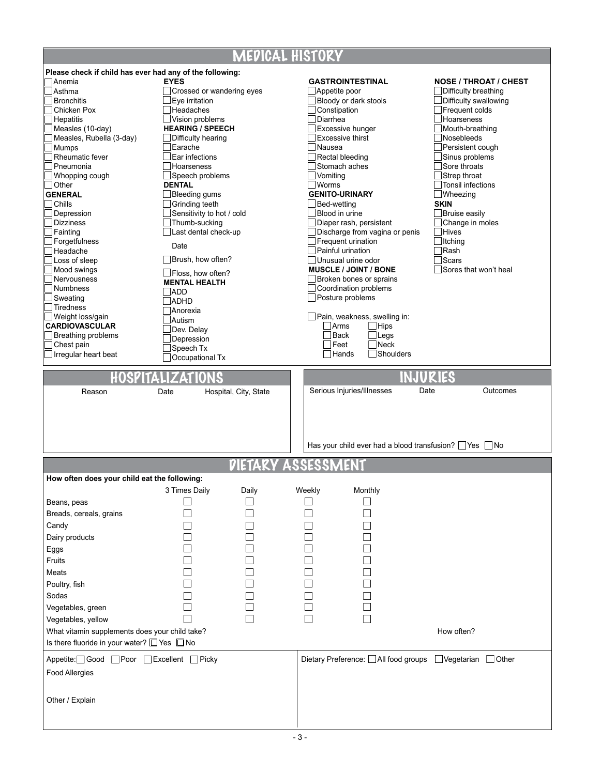### **MEDICAL HISTORY**

Г

|                                                             |                                    |                       | IT LET LUT LE LILUI, UIST             |                                                                   |                                                      |
|-------------------------------------------------------------|------------------------------------|-----------------------|---------------------------------------|-------------------------------------------------------------------|------------------------------------------------------|
| Please check if child has ever had any of the following:    |                                    |                       |                                       |                                                                   |                                                      |
| lAnemia                                                     | <b>EYES</b>                        |                       | <b>GASTROINTESTINAL</b>               |                                                                   | <b>NOSE / THROAT / CHEST</b>                         |
| Asthma                                                      | Crossed or wandering eyes          |                       | Appetite poor                         |                                                                   | Difficulty breathing                                 |
| <b>Bronchitis</b><br>Chicken Pox                            | Eye irritation<br><b>Headaches</b> |                       | Bloody or dark stools<br>Constipation |                                                                   | Difficulty swallowing<br>Frequent colds              |
|                                                             | Vision problems                    |                       | Diarrhea                              |                                                                   | Hoarseness                                           |
| Hepatitis<br>Measles (10-day)                               | <b>HEARING / SPEECH</b>            |                       | Excessive hunger                      |                                                                   | Mouth-breathing                                      |
| Measles, Rubella (3-day)                                    | Difficulty hearing                 |                       | <b>Excessive thirst</b>               |                                                                   | Nosebleeds                                           |
| Mumps                                                       | Earache                            |                       | Nausea                                |                                                                   | Persistent cough                                     |
| Rheumatic fever                                             | Ear infections                     |                       | Rectal bleeding                       |                                                                   | Sinus problems                                       |
| Pneumonia                                                   | Hoarseness                         |                       | Stomach aches                         |                                                                   | Sore throats                                         |
| Whopping cough                                              | Speech problems                    |                       | Vomiting                              |                                                                   | Strep throat                                         |
| Other                                                       | <b>DENTAL</b>                      |                       | <b>Worms</b>                          |                                                                   | Tonsil infections                                    |
| <b>GENERAL</b>                                              | Bleeding gums                      |                       | <b>GENITO-URINARY</b>                 |                                                                   | Wheezing                                             |
| Chills                                                      | Grinding teeth                     |                       | Bed-wetting                           |                                                                   | <b>SKIN</b>                                          |
| Depression                                                  | Sensitivity to hot / cold          |                       | Blood in urine                        |                                                                   | <b>Bruise easily</b>                                 |
| <b>Dizziness</b>                                            | Thumb-sucking                      |                       |                                       | Diaper rash, persistent                                           | Change in moles                                      |
| Fainting                                                    | Last dental check-up               |                       |                                       | Discharge from vagina or penis                                    | Hives                                                |
| Forgetfulness                                               |                                    |                       | Frequent urination                    |                                                                   | Itching                                              |
| Headache                                                    | Date                               |                       | Painful urination                     |                                                                   | ∃Rash                                                |
| Loss of sleep                                               | Brush, how often?                  |                       | Unusual urine odor                    |                                                                   | Scars                                                |
| Mood swings                                                 |                                    |                       |                                       | <b>MUSCLE / JOINT / BONE</b>                                      | Sores that won't heal                                |
| Nervousness                                                 | Floss, how often?                  |                       |                                       | Broken bones or sprains                                           |                                                      |
| Numbness                                                    | <b>MENTAL HEALTH</b>               |                       | Coordination problems                 |                                                                   |                                                      |
| Sweating                                                    | $\Box$ ADD                         |                       | $\Box$ Posture problems               |                                                                   |                                                      |
| Tiredness                                                   | <b>ADHD</b>                        |                       |                                       |                                                                   |                                                      |
| Weight loss/gain                                            | <b>Anorexia</b><br>Autism          |                       |                                       | Pain, weakness, swelling in:                                      |                                                      |
| <b>CARDIOVASCULAR</b>                                       |                                    |                       | ∃Arms                                 | $\Box$ Hips                                                       |                                                      |
| Breathing problems                                          | Dev. Delay                         |                       | Back                                  | $\sqcup$ Legs                                                     |                                                      |
| Chest pain                                                  | Depression<br>Speech Tx            |                       | ∃Feet                                 | $\exists$ Neck                                                    |                                                      |
| Irregular heart beat                                        | <b>Occupational Tx</b>             |                       | Hands                                 | Shoulders                                                         |                                                      |
|                                                             |                                    |                       |                                       |                                                                   |                                                      |
|                                                             | HOSPITALIZATIONS                   |                       |                                       | INJURIES                                                          |                                                      |
|                                                             |                                    |                       |                                       |                                                                   |                                                      |
| Reason                                                      | Date                               | Hospital, City, State | Serious Injuries/Illnesses            | Date                                                              | Outcomes                                             |
|                                                             |                                    |                       |                                       |                                                                   |                                                      |
|                                                             |                                    |                       |                                       |                                                                   |                                                      |
|                                                             |                                    |                       |                                       |                                                                   |                                                      |
|                                                             |                                    |                       |                                       |                                                                   |                                                      |
|                                                             |                                    |                       |                                       |                                                                   |                                                      |
|                                                             |                                    |                       |                                       |                                                                   |                                                      |
|                                                             |                                    |                       |                                       | Has your child ever had a blood transfusion? $\Box$ Yes $\Box$ No |                                                      |
|                                                             |                                    |                       |                                       |                                                                   |                                                      |
|                                                             |                                    | DIETARY ASSESSM       |                                       | ENT                                                               |                                                      |
| How often does your child eat the following:                |                                    |                       |                                       |                                                                   |                                                      |
|                                                             | 3 Times Daily                      | Daily                 | Weekly                                | Monthly                                                           |                                                      |
| Beans, peas                                                 |                                    |                       |                                       |                                                                   |                                                      |
|                                                             |                                    |                       |                                       |                                                                   |                                                      |
| Breads, cereals, grains                                     |                                    |                       |                                       |                                                                   |                                                      |
| Candy                                                       |                                    |                       |                                       |                                                                   |                                                      |
| Dairy products                                              |                                    |                       |                                       |                                                                   |                                                      |
| Eggs                                                        |                                    |                       |                                       |                                                                   |                                                      |
| Fruits                                                      |                                    |                       |                                       |                                                                   |                                                      |
|                                                             |                                    |                       |                                       |                                                                   |                                                      |
| Meats                                                       |                                    |                       |                                       |                                                                   |                                                      |
| Poultry, fish                                               |                                    |                       |                                       |                                                                   |                                                      |
| Sodas                                                       |                                    |                       |                                       |                                                                   |                                                      |
| Vegetables, green                                           |                                    |                       |                                       |                                                                   |                                                      |
|                                                             |                                    |                       | $\overline{\phantom{0}}$              |                                                                   |                                                      |
| Vegetables, yellow                                          |                                    |                       |                                       |                                                                   |                                                      |
| What vitamin supplements does your child take?              |                                    |                       |                                       |                                                                   | How often?                                           |
| Is there fluoride in your water? $\square$ Yes $\square$ No |                                    |                       |                                       |                                                                   |                                                      |
|                                                             |                                    |                       |                                       |                                                                   |                                                      |
| Appetite: Good Poor Excellent Picky                         |                                    |                       |                                       |                                                                   | Dietary Preference: All food groups Vegetarian Other |
| <b>Food Allergies</b>                                       |                                    |                       |                                       |                                                                   |                                                      |
|                                                             |                                    |                       |                                       |                                                                   |                                                      |
|                                                             |                                    |                       |                                       |                                                                   |                                                      |
| Other / Explain                                             |                                    |                       |                                       |                                                                   |                                                      |
|                                                             |                                    |                       |                                       |                                                                   |                                                      |